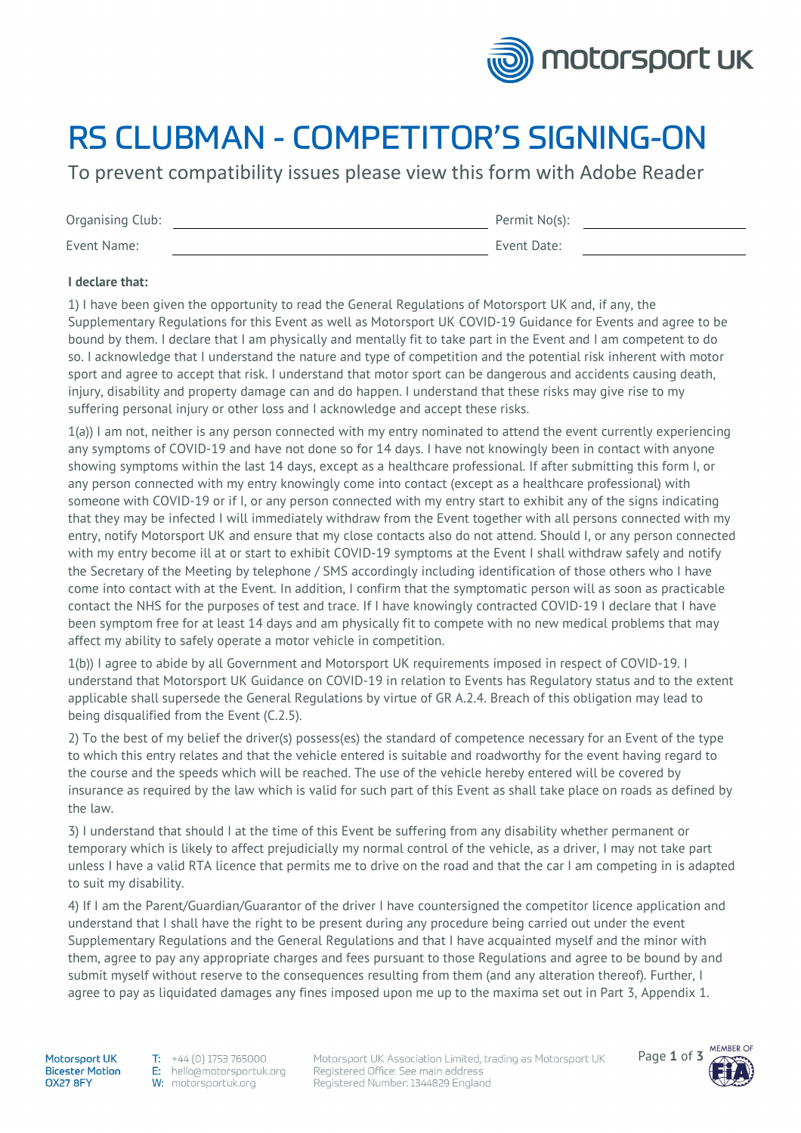

# RS CLUBMAN - COMPETITOR'S SIGNING-ON

To prevent compatibility issues please view this form with Adobe Reader

| Organising Club: | Permit No(s): |
|------------------|---------------|
| Event Name:      | Event Date:   |

# **I declare that:**

1) I have been given the opportunity to read the General Regulations of Motorsport UK and, if any, the Supplementary Regulations for this Event as well as Motorsport UK COVID-19 Guidance for Events and agree to be bound by them. I declare that I am physically and mentally fit to take part in the Event and I am competent to do so. I acknowledge that I understand the nature and type of competition and the potential risk inherent with motor sport and agree to accept that risk. I understand that motor sport can be dangerous and accidents causing death, injury, disability and property damage can and do happen. I understand that these risks may give rise to my suffering personal injury or other loss and I acknowledge and accept these risks.

1(a)) I am not, neither is any person connected with my entry nominated to attend the event currently experiencing any symptoms of COVID-19 and have not done so for 14 days. I have not knowingly been in contact with anyone showing symptoms within the last 14 days, except as a healthcare professional. If after submitting this form I, or any person connected with my entry knowingly come into contact (except as a healthcare professional) with someone with COVID-19 or if I, or any person connected with my entry start to exhibit any of the signs indicating that they may be infected I will immediately withdraw from the Event together with all persons connected with my entry, notify Motorsport UK and ensure that my close contacts also do not attend. Should I, or any person connected with my entry become ill at or start to exhibit COVID-19 symptoms at the Event I shall withdraw safely and notify the Secretary of the Meeting by telephone / SMS accordingly including identification of those others who I have come into contact with at the Event. In addition, I confirm that the symptomatic person will as soon as practicable contact the NHS for the purposes of test and trace. If I have knowingly contracted COVID-19 I declare that I have been symptom free for at least 14 days and am physically fit to compete with no new medical problems that may affect my ability to safely operate a motor vehicle in competition.

1(b)) I agree to abide by all Government and Motorsport UK requirements imposed in respect of COVID-19. I understand that Motorsport UK Guidance on COVID-19 in relation to Events has Regulatory status and to the extent applicable shall supersede the General Regulations by virtue of GR A.2.4. Breach of this obligation may lead to being disqualified from the Event (C.2.5).

2) To the best of my belief the driver(s) possess(es) the standard of competence necessary for an Event of the type to which this entry relates and that the vehicle entered is suitable and roadworthy for the event having regard to the course and the speeds which will be reached. The use of the vehicle hereby entered will be covered by insurance as required by the law which is valid for such part of this Event as shall take place on roads as defined by the law.

3) I understand that should I at the time of this Event be suffering from any disability whether permanent or temporary which is likely to affect prejudicially my normal control of the vehicle, as a driver, I may not take part unless I have a valid RTA licence that permits me to drive on the road and that the car I am competing in is adapted to suit my disability.

4) If I am the Parent/Guardian/Guarantor of the driver I have countersigned the competitor licence application and understand that I shall have the right to be present during any procedure being carried out under the event Supplementary Regulations and the General Regulations and that I have acquainted myself and the minor with them, agree to pay any appropriate charges and fees pursuant to those Regulations and agree to be bound by and submit myself without reserve to the consequences resulting from them (and any alteration thereof). Further, I agree to pay as liquidated damages any fines imposed upon me up to the maxima set out in Part 3, Appendix 1.

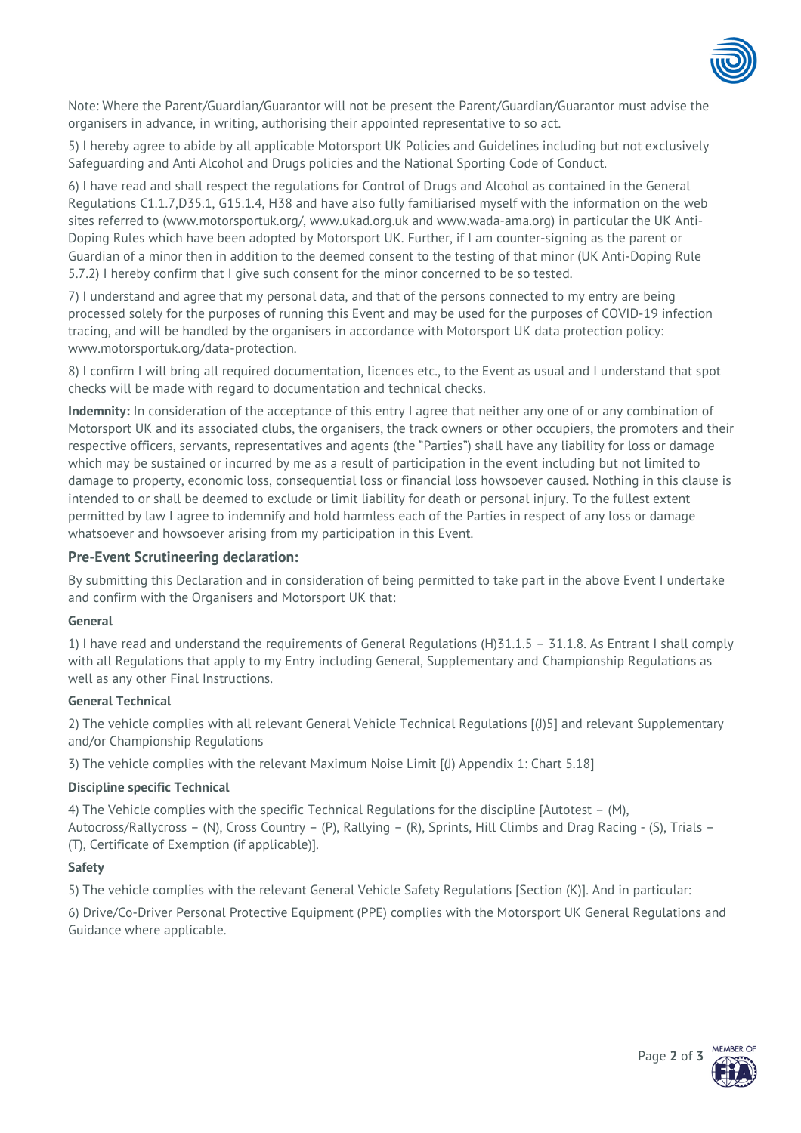

Note: Where the Parent/Guardian/Guarantor will not be present the Parent/Guardian/Guarantor must advise the organisers in advance, in writing, authorising their appointed representative to so act.

5) I hereby agree to abide by all applicable Motorsport UK Policies and Guidelines including but not exclusively Safeguarding and Anti Alcohol and Drugs policies and the National Sporting Code of Conduct.

6) I have read and shall respect the regulations for Control of Drugs and Alcohol as contained in the General Regulations C1.1.7,D35.1, G15.1.4, H38 and have also fully familiarised myself with the information on the web sites referred to (www.motorsportuk.org/, www.ukad.org.uk and www.wada-ama.org) in particular the UK Anti-Doping Rules which have been adopted by Motorsport UK. Further, if I am counter-signing as the parent or Guardian of a minor then in addition to the deemed consent to the testing of that minor (UK Anti-Doping Rule 5.7.2) I hereby confirm that I give such consent for the minor concerned to be so tested.

7) I understand and agree that my personal data, and that of the persons connected to my entry are being processed solely for the purposes of running this Event and may be used for the purposes of COVID-19 infection tracing, and will be handled by the organisers in accordance with Motorsport UK data protection policy: www.motorsportuk.org/data-protection.

8) I confirm I will bring all required documentation, licences etc., to the Event as usual and I understand that spot checks will be made with regard to documentation and technical checks.

**Indemnity:** In consideration of the acceptance of this entry I agree that neither any one of or any combination of Motorsport UK and its associated clubs, the organisers, the track owners or other occupiers, the promoters and their respective officers, servants, representatives and agents (the "Parties") shall have any liability for loss or damage which may be sustained or incurred by me as a result of participation in the event including but not limited to damage to property, economic loss, consequential loss or financial loss howsoever caused. Nothing in this clause is intended to or shall be deemed to exclude or limit liability for death or personal injury. To the fullest extent permitted by law I agree to indemnify and hold harmless each of the Parties in respect of any loss or damage whatsoever and howsoever arising from my participation in this Event.

# **Pre-Event Scrutineering declaration:**

By submitting this Declaration and in consideration of being permitted to take part in the above Event I undertake and confirm with the Organisers and Motorsport UK that:

# **General**

1) I have read and understand the requirements of General Regulations (H)31.1.5 – 31.1.8. As Entrant I shall comply with all Regulations that apply to my Entry including General, Supplementary and Championship Regulations as well as any other Final Instructions.

# **General Technical**

2) The vehicle complies with all relevant General Vehicle Technical Regulations [(J)5] and relevant Supplementary and/or Championship Regulations

3) The vehicle complies with the relevant Maximum Noise Limit [(J) Appendix 1: Chart 5.18]

# **Discipline specific Technical**

4) The Vehicle complies with the specific Technical Regulations for the discipline [Autotest – (M), Autocross/Rallycross – (N), Cross Country – (P), Rallying – (R), Sprints, Hill Climbs and Drag Racing - (S), Trials – (T), Certificate of Exemption (if applicable)].

# **Safety**

5) The vehicle complies with the relevant General Vehicle Safety Regulations [Section (K)]. And in particular:

6) Drive/Co-Driver Personal Protective Equipment (PPE) complies with the Motorsport UK General Regulations and Guidance where applicable.